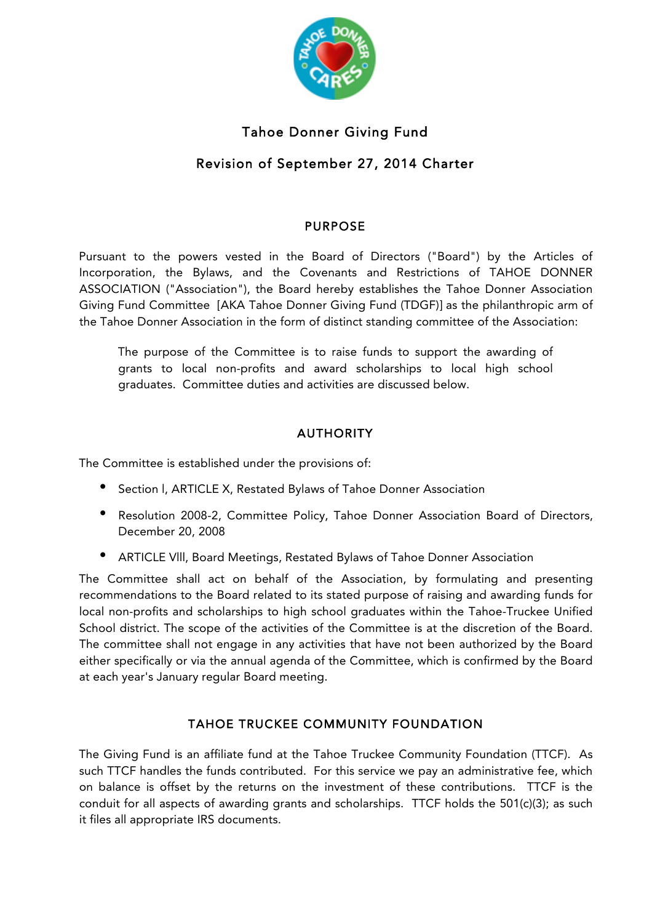

# Tahoe Donner Giving Fund

# Revision of September 27, 2014 Charter

## PURPOSE

Pursuant to the powers vested in the Board of Directors ("Board") by the Articles of Incorporation, the Bylaws, and the Covenants and Restrictions of TAHOE DONNER ASSOCIATION ("Association"), the Board hereby establishes the Tahoe Donner Association Giving Fund Committee [AKA Tahoe Donner Giving Fund (TDGF)] as the philanthropic arm of the Tahoe Donner Association in the form of distinct standing committee of the Association:

The purpose of the Committee is to raise funds to support the awarding of grants to local non-profits and award scholarships to local high school graduates. Committee duties and activities are discussed below.

# AUTHORITY

The Committee is established under the provisions of:

- Section l, ARTICLE X, Restated Bylaws of Tahoe Donner Association
- Resolution 2008-2, Committee Policy, Tahoe Donner Association Board of Directors, December 20, 2008
- ARTICLE Vlll, Board Meetings, Restated Bylaws of Tahoe Donner Association

The Committee shall act on behalf of the Association, by formulating and presenting recommendations to the Board related to its stated purpose of raising and awarding funds for local non-profits and scholarships to high school graduates within the Tahoe-Truckee Unified School district. The scope of the activities of the Committee is at the discretion of the Board. The committee shall not engage in any activities that have not been authorized by the Board either specifically or via the annual agenda of the Committee, which is confirmed by the Board at each year's January regular Board meeting.

# TAHOE TRUCKEE COMMUNITY FOUNDATION

The Giving Fund is an affiliate fund at the Tahoe Truckee Community Foundation (TTCF). As such TTCF handles the funds contributed. For this service we pay an administrative fee, which on balance is offset by the returns on the investment of these contributions. TTCF is the conduit for all aspects of awarding grants and scholarships. TTCF holds the 501(c)(3); as such it files all appropriate IRS documents.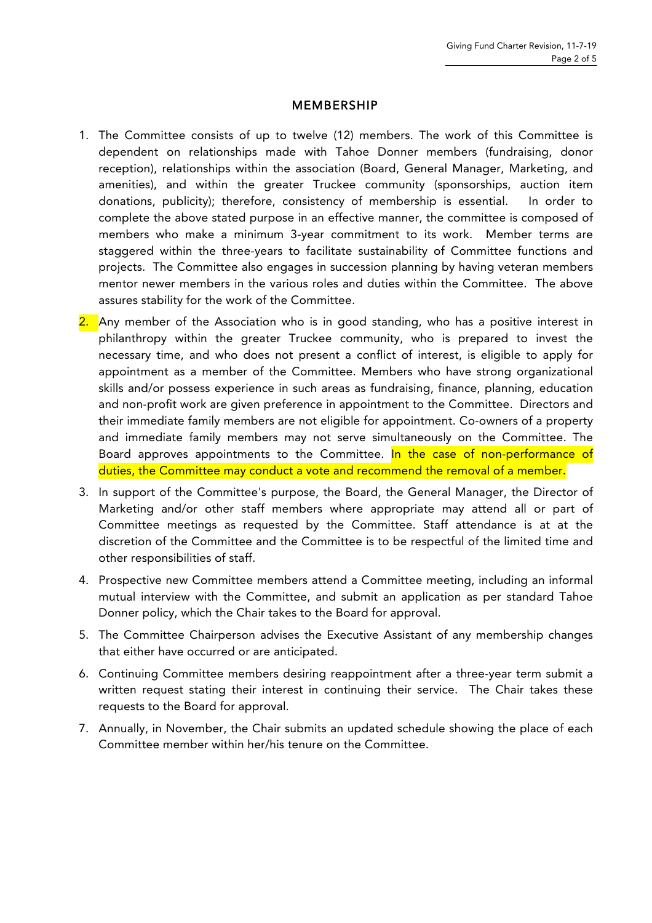#### MEMBERSHIP

- 1. The Committee consists of up to twelve (12) members. The work of this Committee is dependent on relationships made with Tahoe Donner members (fundraising, donor reception), relationships within the association (Board, General Manager, Marketing, and amenities), and within the greater Truckee community (sponsorships, auction item donations, publicity); therefore, consistency of membership is essential. In order to complete the above stated purpose in an effective manner, the committee is composed of members who make a minimum 3-year commitment to its work. Member terms are staggered within the three-years to facilitate sustainability of Committee functions and projects. The Committee also engages in succession planning by having veteran members mentor newer members in the various roles and duties within the Committee. The above assures stability for the work of the Committee.
- 2. Any member of the Association who is in good standing, who has a positive interest in philanthropy within the greater Truckee community, who is prepared to invest the necessary time, and who does not present a conflict of interest, is eligible to apply for appointment as a member of the Committee. Members who have strong organizational skills and/or possess experience in such areas as fundraising, finance, planning, education and non-profit work are given preference in appointment to the Committee. Directors and their immediate family members are not eligible for appointment. Co-owners of a property and immediate family members may not serve simultaneously on the Committee. The Board approves appointments to the Committee. In the case of non-performance of duties, the Committee may conduct a vote and recommend the removal of a member.
- 3. In support of the Committee's purpose, the Board, the General Manager, the Director of Marketing and/or other staff members where appropriate may attend all or part of Committee meetings as requested by the Committee. Staff attendance is at at the discretion of the Committee and the Committee is to be respectful of the limited time and other responsibilities of staff.
- 4. Prospective new Committee members attend a Committee meeting, including an informal mutual interview with the Committee, and submit an application as per standard Tahoe Donner policy, which the Chair takes to the Board for approval.
- 5. The Committee Chairperson advises the Executive Assistant of any membership changes that either have occurred or are anticipated.
- 6. Continuing Committee members desiring reappointment after a three-year term submit a written request stating their interest in continuing their service. The Chair takes these requests to the Board for approval.
- 7. Annually, in November, the Chair submits an updated schedule showing the place of each Committee member within her/his tenure on the Committee.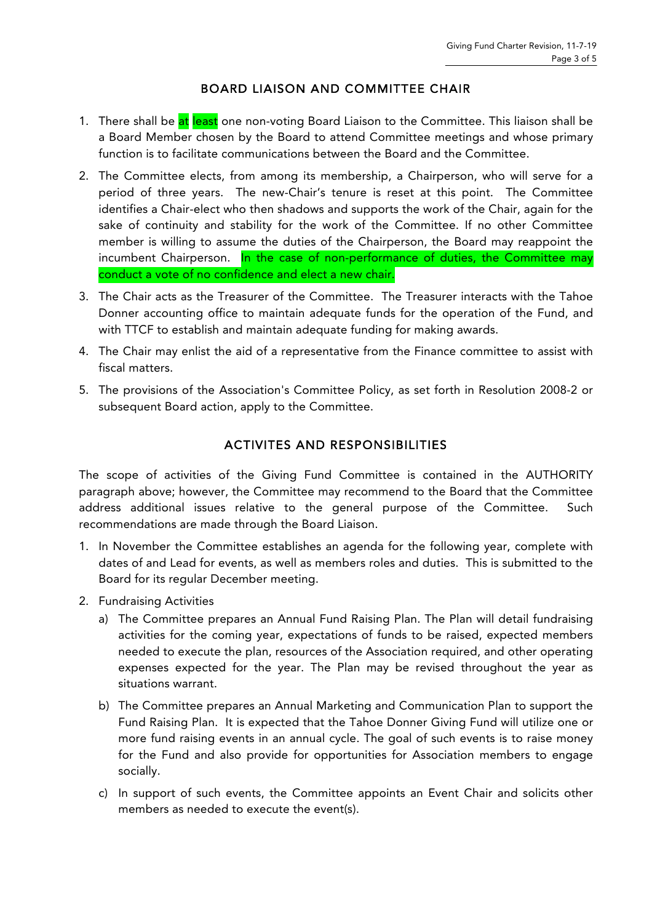### BOARD LIAISON AND COMMITTEE CHAIR

- 1. There shall be at least one non-voting Board Liaison to the Committee. This liaison shall be a Board Member chosen by the Board to attend Committee meetings and whose primary function is to facilitate communications between the Board and the Committee.
- 2. The Committee elects, from among its membership, a Chairperson, who will serve for a period of three years. The new-Chair's tenure is reset at this point. The Committee identifies a Chair-elect who then shadows and supports the work of the Chair, again for the sake of continuity and stability for the work of the Committee. If no other Committee member is willing to assume the duties of the Chairperson, the Board may reappoint the incumbent Chairperson. In the case of non-performance of duties, the Committee may conduct a vote of no confidence and elect a new chair.
- 3. The Chair acts as the Treasurer of the Committee. The Treasurer interacts with the Tahoe Donner accounting office to maintain adequate funds for the operation of the Fund, and with TTCF to establish and maintain adequate funding for making awards.
- 4. The Chair may enlist the aid of a representative from the Finance committee to assist with fiscal matters.
- 5. The provisions of the Association's Committee Policy, as set forth in Resolution 2008-2 or subsequent Board action, apply to the Committee.

## ACTIVITES AND RESPONSIBILITIES

The scope of activities of the Giving Fund Committee is contained in the AUTHORITY paragraph above; however, the Committee may recommend to the Board that the Committee address additional issues relative to the general purpose of the Committee. Such recommendations are made through the Board Liaison.

- 1. In November the Committee establishes an agenda for the following year, complete with dates of and Lead for events, as well as members roles and duties. This is submitted to the Board for its regular December meeting.
- 2. Fundraising Activities
	- a) The Committee prepares an Annual Fund Raising Plan. The Plan will detail fundraising activities for the coming year, expectations of funds to be raised, expected members needed to execute the plan, resources of the Association required, and other operating expenses expected for the year. The Plan may be revised throughout the year as situations warrant.
	- b) The Committee prepares an Annual Marketing and Communication Plan to support the Fund Raising Plan. It is expected that the Tahoe Donner Giving Fund will utilize one or more fund raising events in an annual cycle. The goal of such events is to raise money for the Fund and also provide for opportunities for Association members to engage socially.
	- c) In support of such events, the Committee appoints an Event Chair and solicits other members as needed to execute the event(s).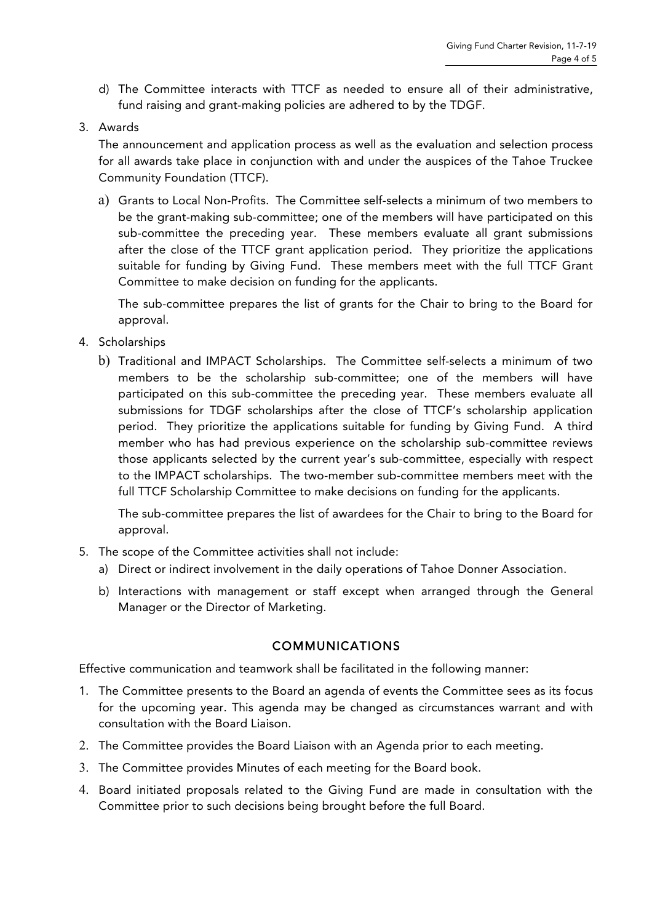- d) The Committee interacts with TTCF as needed to ensure all of their administrative, fund raising and grant-making policies are adhered to by the TDGF.
- 3. Awards

The announcement and application process as well as the evaluation and selection process for all awards take place in conjunction with and under the auspices of the Tahoe Truckee Community Foundation (TTCF).

a) Grants to Local Non-Profits. The Committee self-selects a minimum of two members to be the grant-making sub-committee; one of the members will have participated on this sub-committee the preceding year. These members evaluate all grant submissions after the close of the TTCF grant application period. They prioritize the applications suitable for funding by Giving Fund. These members meet with the full TTCF Grant Committee to make decision on funding for the applicants.

The sub-committee prepares the list of grants for the Chair to bring to the Board for approval.

- 4. Scholarships
	- b) Traditional and IMPACT Scholarships. The Committee self-selects a minimum of two members to be the scholarship sub-committee; one of the members will have participated on this sub-committee the preceding year. These members evaluate all submissions for TDGF scholarships after the close of TTCF's scholarship application period. They prioritize the applications suitable for funding by Giving Fund. A third member who has had previous experience on the scholarship sub-committee reviews those applicants selected by the current year's sub-committee, especially with respect to the IMPACT scholarships. The two-member sub-committee members meet with the full TTCF Scholarship Committee to make decisions on funding for the applicants.

The sub-committee prepares the list of awardees for the Chair to bring to the Board for approval.

- 5. The scope of the Committee activities shall not include:
	- a) Direct or indirect involvement in the daily operations of Tahoe Donner Association.
	- b) Interactions with management or staff except when arranged through the General Manager or the Director of Marketing.

#### COMMUNICATIONS

Effective communication and teamwork shall be facilitated in the following manner:

- 1. The Committee presents to the Board an agenda of events the Committee sees as its focus for the upcoming year. This agenda may be changed as circumstances warrant and with consultation with the Board Liaison.
- 2. The Committee provides the Board Liaison with an Agenda prior to each meeting.
- 3. The Committee provides Minutes of each meeting for the Board book.
- 4. Board initiated proposals related to the Giving Fund are made in consultation with the Committee prior to such decisions being brought before the full Board.